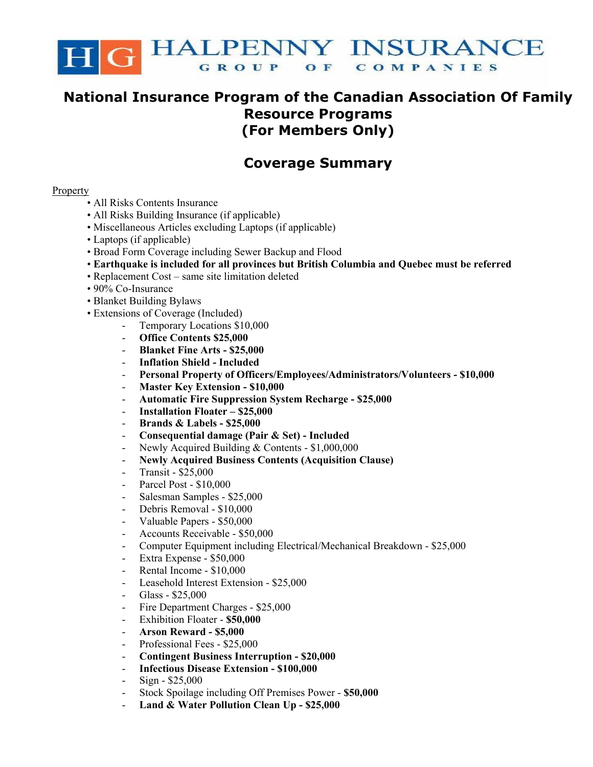

# **National Insurance Program of the Canadian Association Of Family Resource Programs (For Members Only)**

# **Coverage Summary**

### **Property**

- All Risks Contents Insurance
- All Risks Building Insurance (if applicable)
- Miscellaneous Articles excluding Laptops (if applicable)
- Laptops (if applicable)
- Broad Form Coverage including Sewer Backup and Flood
- **Earthquake is included for all provinces but British Columbia and Quebec must be referred**
- Replacement Cost same site limitation deleted
- 90% Co-Insurance
- Blanket Building Bylaws
- Extensions of Coverage (Included)
	- Temporary Locations  $$10,000$
	- **Office Contents \$25,000**
	- **Blanket Fine Arts \$25,000**
	- **Inflation Shield Included**
	- **Personal Property of Officers/Employees/Administrators/Volunteers \$10,000**
	- **Master Key Extension \$10,000**
	- **Automatic Fire Suppression System Recharge \$25,000**
	- **Installation Floater \$25,000**
	- **Brands & Labels \$25,000**
	- **Consequential damage (Pair & Set) Included**
	- Newly Acquired Building & Contents \$1,000,000
	- **Newly Acquired Business Contents (Acquisition Clause)**
	- Transit \$25,000
	- Parcel Post \$10,000
	- Salesman Samples \$25,000
	- Debris Removal \$10,000
	- Valuable Papers \$50,000
	- Accounts Receivable \$50,000
	- Computer Equipment including Electrical/Mechanical Breakdown \$25,000
	- Extra Expense \$50,000
	- Rental Income \$10,000
	- Leasehold Interest Extension \$25,000
	- Glass \$25,000
	- Fire Department Charges \$25,000
	- Exhibition Floater **\$50,000**
	- **Arson Reward \$5,000**
	- Professional Fees \$25,000
	- **Contingent Business Interruption \$20,000**
	- **Infectious Disease Extension \$100,000**
	- $-Sign $25,000$
	- Stock Spoilage including Off Premises Power **\$50,000**
	- **Land & Water Pollution Clean Up \$25,000**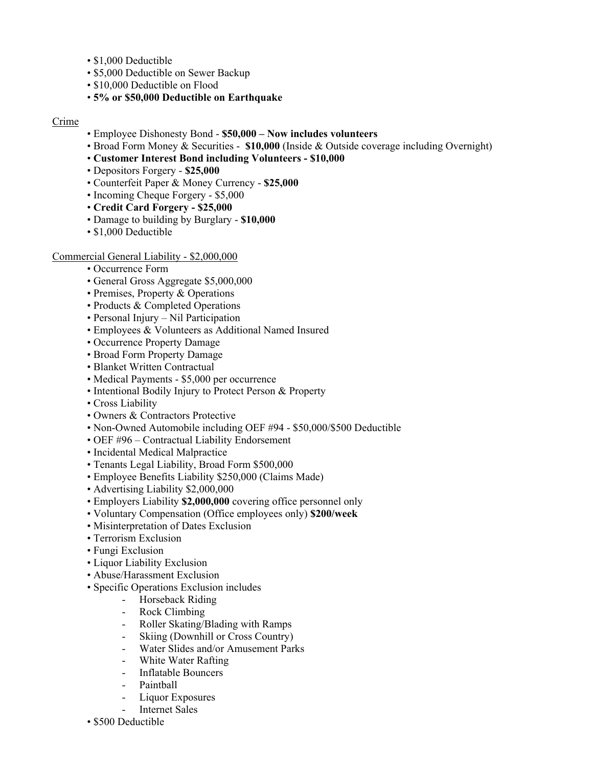- \$1,000 Deductible
- \$5,000 Deductible on Sewer Backup
- \$10,000 Deductible on Flood
- **5% or \$50,000 Deductible on Earthquake**

### Crime

- Employee Dishonesty Bond **\$50,000 Now includes volunteers**
- Broad Form Money & Securities **\$10,000** (Inside & Outside coverage including Overnight)
- **Customer Interest Bond including Volunteers \$10,000**
- Depositors Forgery **\$25,000**
- Counterfeit Paper & Money Currency **\$25,000**
- Incoming Cheque Forgery \$5,000
- **Credit Card Forgery \$25,000**
- Damage to building by Burglary **\$10,000**
- \$1,000 Deductible

## Commercial General Liability - \$2,000,000

- Occurrence Form
- General Gross Aggregate \$5,000,000
- Premises, Property & Operations
- Products & Completed Operations
- Personal Injury Nil Participation
- Employees & Volunteers as Additional Named Insured
- Occurrence Property Damage
- Broad Form Property Damage
- Blanket Written Contractual
- Medical Payments \$5,000 per occurrence
- Intentional Bodily Injury to Protect Person & Property
- Cross Liability
- Owners & Contractors Protective
- Non-Owned Automobile including OEF #94 \$50,000/\$500 Deductible
- OEF #96 Contractual Liability Endorsement
- Incidental Medical Malpractice
- Tenants Legal Liability, Broad Form \$500,000
- Employee Benefits Liability \$250,000 (Claims Made)
- Advertising Liability \$2,000,000
- Employers Liability **\$2,000,000** covering office personnel only
- Voluntary Compensation (Office employees only) **\$200/week**
- Misinterpretation of Dates Exclusion
- Terrorism Exclusion
- Fungi Exclusion
- Liquor Liability Exclusion
- Abuse/Harassment Exclusion
- Specific Operations Exclusion includes
	- Horseback Riding
	- Rock Climbing
	- Roller Skating/Blading with Ramps
	- Skiing (Downhill or Cross Country)
	- Water Slides and/or Amusement Parks
	- White Water Rafting
	- Inflatable Bouncers
	- Paintball
	- Liquor Exposures
	- Internet Sales
- \$500 Deductible